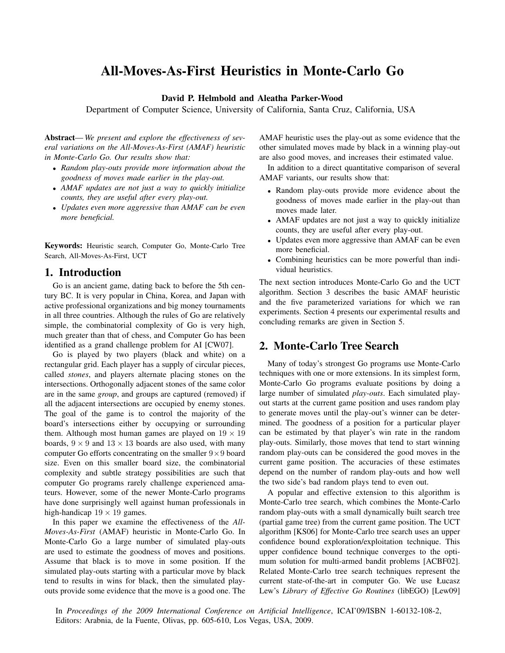# All-Moves-As-First Heuristics in Monte-Carlo Go

#### David P. Helmbold and Aleatha Parker-Wood

Department of Computer Science, University of California, Santa Cruz, California, USA

Abstract—*We present and explore the effectiveness of several variations on the All-Moves-As-First (AMAF) heuristic in Monte-Carlo Go. Our results show that:*

- *Random play-outs provide more information about the goodness of moves made earlier in the play-out.*
- *AMAF updates are not just a way to quickly initialize counts, they are useful after every play-out.*
- *Updates even more aggressive than AMAF can be even more beneficial.*

Keywords: Heuristic search, Computer Go, Monte-Carlo Tree Search, All-Moves-As-First, UCT

### 1. Introduction

Go is an ancient game, dating back to before the 5th century BC. It is very popular in China, Korea, and Japan with active professional organizations and big money tournaments in all three countries. Although the rules of Go are relatively simple, the combinatorial complexity of Go is very high, much greater than that of chess, and Computer Go has been identified as a grand challenge problem for AI [CW07].

Go is played by two players (black and white) on a rectangular grid. Each player has a supply of circular pieces, called *stones*, and players alternate placing stones on the intersections. Orthogonally adjacent stones of the same color are in the same *group*, and groups are captured (removed) if all the adjacent intersections are occupied by enemy stones. The goal of the game is to control the majority of the board's intersections either by occupying or surrounding them. Although most human games are played on  $19 \times 19$ boards,  $9 \times 9$  and  $13 \times 13$  boards are also used, with many computer Go efforts concentrating on the smaller  $9 \times 9$  board size. Even on this smaller board size, the combinatorial complexity and subtle strategy possibilities are such that computer Go programs rarely challenge experienced amateurs. However, some of the newer Monte-Carlo programs have done surprisingly well against human professionals in high-handicap  $19 \times 19$  games.

In this paper we examine the effectiveness of the *All-Moves-As-First* (AMAF) heuristic in Monte-Carlo Go. In Monte-Carlo Go a large number of simulated play-outs are used to estimate the goodness of moves and positions. Assume that black is to move in some position. If the simulated play-outs starting with a particular move by black tend to results in wins for black, then the simulated playouts provide some evidence that the move is a good one. The

AMAF heuristic uses the play-out as some evidence that the other simulated moves made by black in a winning play-out are also good moves, and increases their estimated value.

In addition to a direct quantitative comparison of several AMAF variants, our results show that:

- Random play-outs provide more evidence about the goodness of moves made earlier in the play-out than moves made later.
- AMAF updates are not just a way to quickly initialize counts, they are useful after every play-out.
- Updates even more aggressive than AMAF can be even more beneficial.
- Combining heuristics can be more powerful than individual heuristics.

The next section introduces Monte-Carlo Go and the UCT algorithm. Section 3 describes the basic AMAF heuristic and the five parameterized variations for which we ran experiments. Section 4 presents our experimental results and concluding remarks are given in Section 5.

# 2. Monte-Carlo Tree Search

Many of today's strongest Go programs use Monte-Carlo techniques with one or more extensions. In its simplest form, Monte-Carlo Go programs evaluate positions by doing a large number of simulated *play-outs*. Each simulated playout starts at the current game position and uses random play to generate moves until the play-out's winner can be determined. The goodness of a position for a particular player can be estimated by that player's win rate in the random play-outs. Similarly, those moves that tend to start winning random play-outs can be considered the good moves in the current game position. The accuracies of these estimates depend on the number of random play-outs and how well the two side's bad random plays tend to even out.

A popular and effective extension to this algorithm is Monte-Carlo tree search, which combines the Monte-Carlo random play-outs with a small dynamically built search tree (partial game tree) from the current game position. The UCT algorithm [KS06] for Monte-Carlo tree search uses an upper confidence bound exploration/exploitation technique. This upper confidence bound technique converges to the optimum solution for multi-armed bandit problems [ACBF02]. Related Monte-Carlo tree search techniques represent the current state-of-the-art in computer Go. We use Łucasz Lew's *Library of Effective Go Routines* (libEGO) [Lew09]

In *Proceedings of the 2009 International Conference on Artificial Intelligence*, ICAI'09/ISBN 1-60132-108-2, Editors: Arabnia, de la Fuente, Olivas, pp. 605-610, Los Vegas, USA, 2009.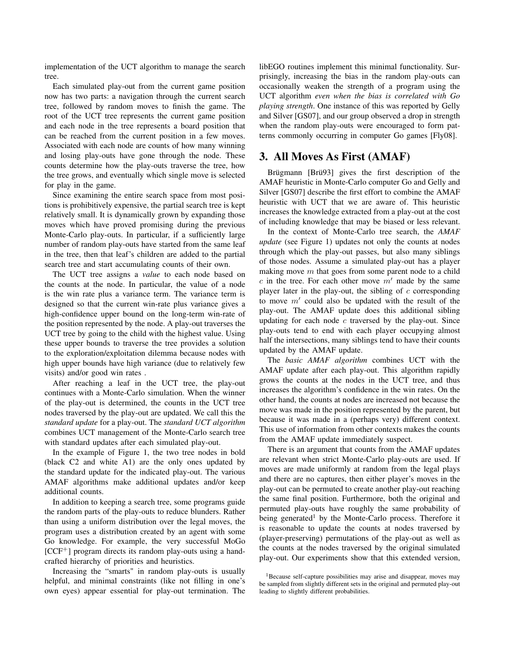implementation of the UCT algorithm to manage the search tree.

Each simulated play-out from the current game position now has two parts: a navigation through the current search tree, followed by random moves to finish the game. The root of the UCT tree represents the current game position and each node in the tree represents a board position that can be reached from the current position in a few moves. Associated with each node are counts of how many winning and losing play-outs have gone through the node. These counts determine how the play-outs traverse the tree, how the tree grows, and eventually which single move is selected for play in the game.

Since examining the entire search space from most positions is prohibitively expensive, the partial search tree is kept relatively small. It is dynamically grown by expanding those moves which have proved promising during the previous Monte-Carlo play-outs. In particular, if a sufficiently large number of random play-outs have started from the same leaf in the tree, then that leaf's children are added to the partial search tree and start accumulating counts of their own.

The UCT tree assigns a *value* to each node based on the counts at the node. In particular, the value of a node is the win rate plus a variance term. The variance term is designed so that the current win-rate plus variance gives a high-confidence upper bound on the long-term win-rate of the position represented by the node. A play-out traverses the UCT tree by going to the child with the highest value. Using these upper bounds to traverse the tree provides a solution to the exploration/exploitation dilemma because nodes with high upper bounds have high variance (due to relatively few visits) and/or good win rates .

After reaching a leaf in the UCT tree, the play-out continues with a Monte-Carlo simulation. When the winner of the play-out is determined, the counts in the UCT tree nodes traversed by the play-out are updated. We call this the *standard update* for a play-out. The *standard UCT algorithm* combines UCT management of the Monte-Carlo search tree with standard updates after each simulated play-out.

In the example of Figure 1, the two tree nodes in bold (black C2 and white A1) are the only ones updated by the standard update for the indicated play-out. The various AMAF algorithms make additional updates and/or keep additional counts.

In addition to keeping a search tree, some programs guide the random parts of the play-outs to reduce blunders. Rather than using a uniform distribution over the legal moves, the program uses a distribution created by an agent with some Go knowledge. For example, the very successful MoGo  $[CCF<sup>+</sup>]$  program directs its random play-outs using a handcrafted hierarchy of priorities and heuristics.

Increasing the "smarts" in random play-outs is usually helpful, and minimal constraints (like not filling in one's own eyes) appear essential for play-out termination. The

libEGO routines implement this minimal functionality. Surprisingly, increasing the bias in the random play-outs can occasionally weaken the strength of a program using the UCT algorithm *even when the bias is correlated with Go playing strength*. One instance of this was reported by Gelly and Silver [GS07], and our group observed a drop in strength when the random play-outs were encouraged to form patterns commonly occurring in computer Go games [Fly08].

#### 3. All Moves As First (AMAF)

Brügmann [Brü93] gives the first description of the AMAF heuristic in Monte-Carlo computer Go and Gelly and Silver [GS07] describe the first effort to combine the AMAF heuristic with UCT that we are aware of. This heuristic increases the knowledge extracted from a play-out at the cost of including knowledge that may be biased or less relevant.

In the context of Monte-Carlo tree search, the *AMAF update* (see Figure 1) updates not only the counts at nodes through which the play-out passes, but also many siblings of those nodes. Assume a simulated play-out has a player making move  $m$  that goes from some parent node to a child c in the tree. For each other move  $m'$  made by the same player later in the play-out, the sibling of  $c$  corresponding to move  $m'$  could also be updated with the result of the play-out. The AMAF update does this additional sibling updating for each node  $c$  traversed by the play-out. Since play-outs tend to end with each player occupying almost half the intersections, many siblings tend to have their counts updated by the AMAF update.

The *basic AMAF algorithm* combines UCT with the AMAF update after each play-out. This algorithm rapidly grows the counts at the nodes in the UCT tree, and thus increases the algorithm's confidence in the win rates. On the other hand, the counts at nodes are increased not because the move was made in the position represented by the parent, but because it was made in a (perhaps very) different context. This use of information from other contexts makes the counts from the AMAF update immediately suspect.

There is an argument that counts from the AMAF updates are relevant when strict Monte-Carlo play-outs are used. If moves are made uniformly at random from the legal plays and there are no captures, then either player's moves in the play-out can be permuted to create another play-out reaching the same final position. Furthermore, both the original and permuted play-outs have roughly the same probability of being generated<sup>1</sup> by the Monte-Carlo process. Therefore it is reasonable to update the counts at nodes traversed by (player-preserving) permutations of the play-out as well as the counts at the nodes traversed by the original simulated play-out. Our experiments show that this extended version,

<sup>&</sup>lt;sup>1</sup>Because self-capture possibilities may arise and disappear, moves may be sampled from slightly different sets in the original and permuted play-out leading to slightly different probabilities.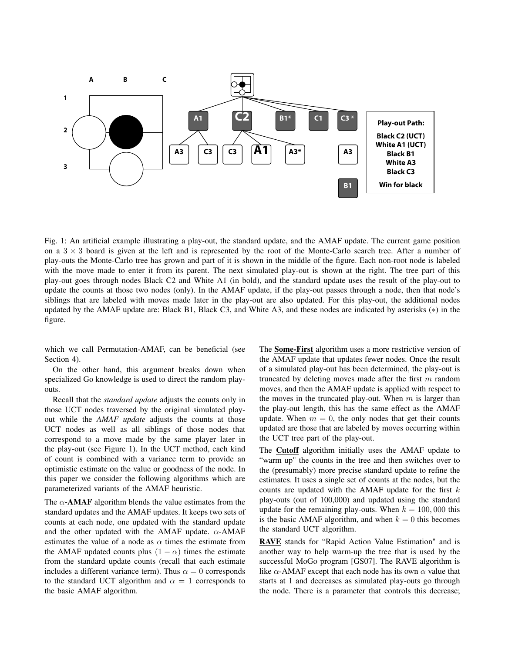

Fig. 1: An artificial example illustrating a play-out, the standard update, and the AMAF update. The current game position on a  $3 \times 3$  board is given at the left and is represented by the root of the Monte-Carlo search tree. After a number of play-outs the Monte-Carlo tree has grown and part of it is shown in the middle of the figure. Each non-root node is labeled with the move made to enter it from its parent. The next simulated play-out is shown at the right. The tree part of this play-out goes through nodes Black C2 and White A1 (in bold), and the standard update uses the result of the play-out to update the counts at those two nodes (only). In the AMAF update, if the play-out passes through a node, then that node's siblings that are labeled with moves made later in the play-out are also updated. For this play-out, the additional nodes updated by the AMAF update are: Black B1, Black C3, and White A3, and these nodes are indicated by asterisks (∗) in the figure.

which we call Permutation-AMAF, can be beneficial (see Section 4).

On the other hand, this argument breaks down when specialized Go knowledge is used to direct the random playouts.

Recall that the *standard update* adjusts the counts only in those UCT nodes traversed by the original simulated playout while the *AMAF update* adjusts the counts at those UCT nodes as well as all siblings of those nodes that correspond to a move made by the same player later in the play-out (see Figure 1). In the UCT method, each kind of count is combined with a variance term to provide an optimistic estimate on the value or goodness of the node. In this paper we consider the following algorithms which are parameterized variants of the AMAF heuristic.

The  $\alpha$ -AMAF algorithm blends the value estimates from the standard updates and the AMAF updates. It keeps two sets of counts at each node, one updated with the standard update and the other updated with the AMAF update.  $\alpha$ -AMAF estimates the value of a node as  $\alpha$  times the estimate from the AMAF updated counts plus  $(1 - \alpha)$  times the estimate from the standard update counts (recall that each estimate includes a different variance term). Thus  $\alpha = 0$  corresponds to the standard UCT algorithm and  $\alpha = 1$  corresponds to the basic AMAF algorithm.

The Some-First algorithm uses a more restrictive version of the AMAF update that updates fewer nodes. Once the result of a simulated play-out has been determined, the play-out is truncated by deleting moves made after the first  $m$  random moves, and then the AMAF update is applied with respect to the moves in the truncated play-out. When  $m$  is larger than the play-out length, this has the same effect as the AMAF update. When  $m = 0$ , the only nodes that get their counts updated are those that are labeled by moves occurring within the UCT tree part of the play-out.

The Cutoff algorithm initially uses the AMAF update to "warm up" the counts in the tree and then switches over to the (presumably) more precise standard update to refine the estimates. It uses a single set of counts at the nodes, but the counts are updated with the AMAF update for the first  $k$ play-outs (out of 100,000) and updated using the standard update for the remaining play-outs. When  $k = 100,000$  this is the basic AMAF algorithm, and when  $k = 0$  this becomes the standard UCT algorithm.

RAVE stands for "Rapid Action Value Estimation" and is another way to help warm-up the tree that is used by the successful MoGo program [GS07]. The RAVE algorithm is like  $\alpha$ -AMAF except that each node has its own  $\alpha$  value that starts at 1 and decreases as simulated play-outs go through the node. There is a parameter that controls this decrease;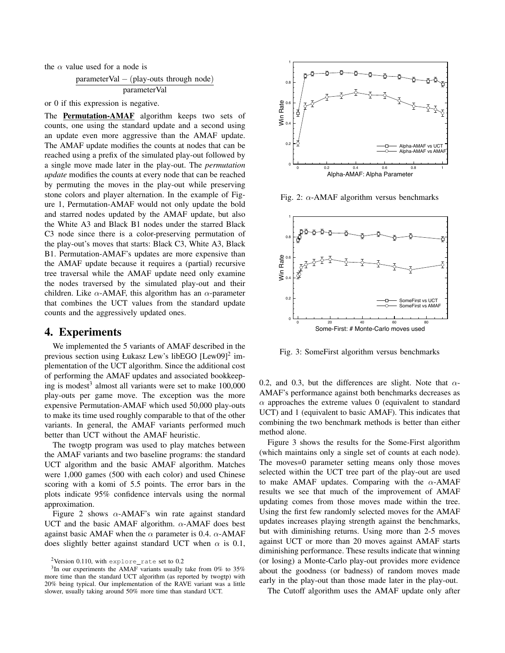the  $\alpha$  value used for a node is

$$
\frac{parameterVal - (play-outs through node)}{parameterVal}
$$

or 0 if this expression is negative.

The Permutation-AMAF algorithm keeps two sets of counts, one using the standard update and a second using an update even more aggressive than the AMAF update. The AMAF update modifies the counts at nodes that can be reached using a prefix of the simulated play-out followed by a single move made later in the play-out. The *permutation update* modifies the counts at every node that can be reached by permuting the moves in the play-out while preserving stone colors and player alternation. In the example of Figure 1, Permutation-AMAF would not only update the bold and starred nodes updated by the AMAF update, but also the White A3 and Black B1 nodes under the starred Black C3 node since there is a color-preserving permutation of the play-out's moves that starts: Black C3, White A3, Black B1. Permutation-AMAF's updates are more expensive than the AMAF update because it requires a (partial) recursive tree traversal while the AMAF update need only examine the nodes traversed by the simulated play-out and their children. Like  $\alpha$ -AMAF, this algorithm has an  $\alpha$ -parameter that combines the UCT values from the standard update counts and the aggressively updated ones.

#### 4. Experiments

We implemented the 5 variants of AMAF described in the previous section using Łukasz Lew's libEGO [Lew09]<sup>2</sup> implementation of the UCT algorithm. Since the additional cost of performing the AMAF updates and associated bookkeeping is modest<sup>3</sup> almost all variants were set to make 100,000 play-outs per game move. The exception was the more expensive Permutation-AMAF which used 50,000 play-outs to make its time used roughly comparable to that of the other variants. In general, the AMAF variants performed much better than UCT without the AMAF heuristic.

The twogtp program was used to play matches between the AMAF variants and two baseline programs: the standard UCT algorithm and the basic AMAF algorithm. Matches were 1,000 games (500 with each color) and used Chinese scoring with a komi of 5.5 points. The error bars in the plots indicate 95% confidence intervals using the normal approximation.

Figure 2 shows  $\alpha$ -AMAF's win rate against standard UCT and the basic AMAF algorithm.  $\alpha$ -AMAF does best against basic AMAF when the  $\alpha$  parameter is 0.4.  $\alpha$ -AMAF does slightly better against standard UCT when  $\alpha$  is 0.1,



Fig. 2:  $\alpha$ -AMAF algorithm versus benchmarks



Fig. 3: SomeFirst algorithm versus benchmarks

0.2, and 0.3, but the differences are slight. Note that  $\alpha$ -AMAF's performance against both benchmarks decreases as  $\alpha$  approaches the extreme values 0 (equivalent to standard UCT) and 1 (equivalent to basic AMAF). This indicates that combining the two benchmark methods is better than either method alone.

Figure 3 shows the results for the Some-First algorithm (which maintains only a single set of counts at each node). The moves=0 parameter setting means only those moves selected within the UCT tree part of the play-out are used to make AMAF updates. Comparing with the  $\alpha$ -AMAF results we see that much of the improvement of AMAF updating comes from those moves made within the tree. Using the first few randomly selected moves for the AMAF updates increases playing strength against the benchmarks, but with diminishing returns. Using more than 2-5 moves against UCT or more than 20 moves against AMAF starts diminishing performance. These results indicate that winning (or losing) a Monte-Carlo play-out provides more evidence about the goodness (or badness) of random moves made early in the play-out than those made later in the play-out.

The Cutoff algorithm uses the AMAF update only after

 $2$ Version 0.110, with explore\_rate set to 0.2

 $3$ In our experiments the AMAF variants usually take from 0% to 35% more time than the standard UCT algorithm (as reported by twogtp) with 20% being typical. Our implementation of the RAVE variant was a little slower, usually taking around 50% more time than standard UCT.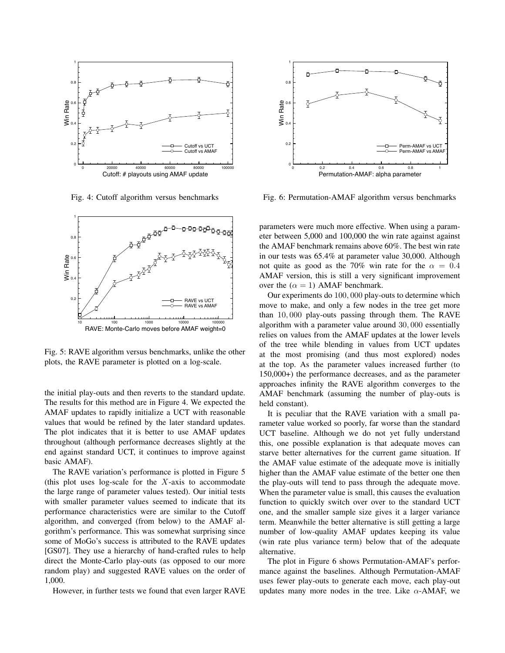

Fig. 4: Cutoff algorithm versus benchmarks



Fig. 5: RAVE algorithm versus benchmarks, unlike the other plots, the RAVE parameter is plotted on a log-scale.

the initial play-outs and then reverts to the standard update. The results for this method are in Figure 4. We expected the AMAF updates to rapidly initialize a UCT with reasonable values that would be refined by the later standard updates. The plot indicates that it is better to use AMAF updates throughout (although performance decreases slightly at the end against standard UCT, it continues to improve against basic AMAF).

The RAVE variation's performance is plotted in Figure 5 (this plot uses log-scale for the  $X$ -axis to accommodate the large range of parameter values tested). Our initial tests with smaller parameter values seemed to indicate that its performance characteristics were are similar to the Cutoff algorithm, and converged (from below) to the AMAF algorithm's performance. This was somewhat surprising since some of MoGo's success is attributed to the RAVE updates [GS07]. They use a hierarchy of hand-crafted rules to help direct the Monte-Carlo play-outs (as opposed to our more random play) and suggested RAVE values on the order of 1,000.

However, in further tests we found that even larger RAVE



Fig. 6: Permutation-AMAF algorithm versus benchmarks

parameters were much more effective. When using a parameter between 5,000 and 100,000 the win rate against against the AMAF benchmark remains above 60%. The best win rate in our tests was 65.4% at parameter value 30,000. Although not quite as good as the 70% win rate for the  $\alpha = 0.4$ AMAF version, this is still a very significant improvement over the  $(\alpha = 1)$  AMAF benchmark.

Our experiments do 100, 000 play-outs to determine which move to make, and only a few nodes in the tree get more than 10, 000 play-outs passing through them. The RAVE algorithm with a parameter value around 30, 000 essentially relies on values from the AMAF updates at the lower levels of the tree while blending in values from UCT updates at the most promising (and thus most explored) nodes at the top. As the parameter values increased further (to 150,000+) the performance decreases, and as the parameter approaches infinity the RAVE algorithm converges to the AMAF benchmark (assuming the number of play-outs is held constant).

It is peculiar that the RAVE variation with a small parameter value worked so poorly, far worse than the standard UCT baseline. Although we do not yet fully understand this, one possible explanation is that adequate moves can starve better alternatives for the current game situation. If the AMAF value estimate of the adequate move is initially higher than the AMAF value estimate of the better one then the play-outs will tend to pass through the adequate move. When the parameter value is small, this causes the evaluation function to quickly switch over over to the standard UCT one, and the smaller sample size gives it a larger variance term. Meanwhile the better alternative is still getting a large number of low-quality AMAF updates keeping its value (win rate plus variance term) below that of the adequate alternative.

The plot in Figure 6 shows Permutation-AMAF's performance against the baselines. Although Permutation-AMAF uses fewer play-outs to generate each move, each play-out updates many more nodes in the tree. Like  $\alpha$ -AMAF, we